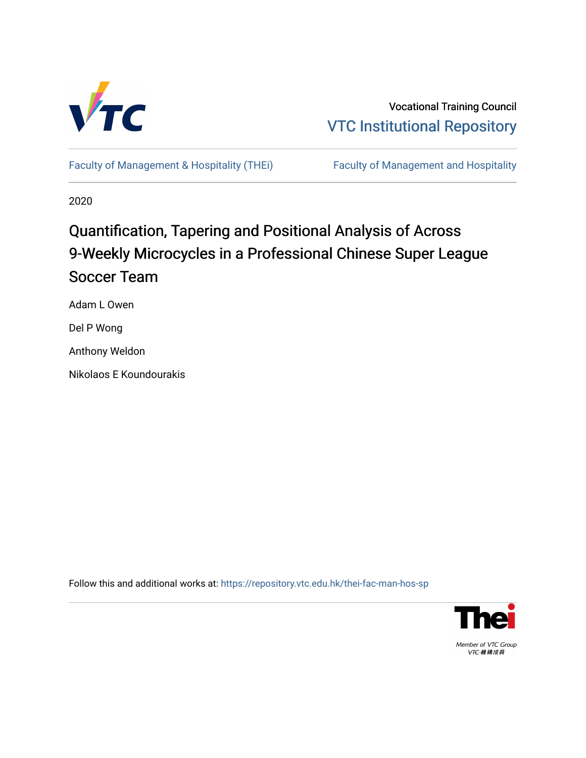

Vocational Training Council [VTC Institutional Repository](https://repository.vtc.edu.hk/) 

[Faculty of Management & Hospitality \(THEi\)](https://repository.vtc.edu.hk/thei-fac-man-hos-sp) Faculty of Management and Hospitality

2020

# Quantification, Tapering and Positional Analysis of Across 9-Weekly Microcycles in a Professional Chinese Super League Soccer Team

Adam L Owen

Del P Wong

Anthony Weldon

Nikolaos E Koundourakis

Follow this and additional works at: [https://repository.vtc.edu.hk/thei-fac-man-hos-sp](https://repository.vtc.edu.hk/thei-fac-man-hos-sp?utm_source=repository.vtc.edu.hk%2Fthei-fac-man-hos-sp%2F174&utm_medium=PDF&utm_campaign=PDFCoverPages)



Member of VTC Group VTC機構成員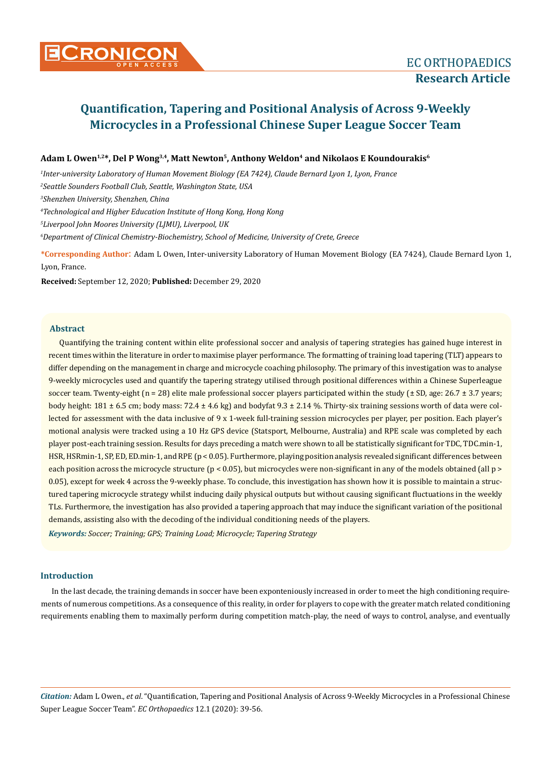# **Adam L Owen1,2\*, Del P Wong3,4, Matt Newton5, Anthony Weldon4 and Nikolaos E Koundourakis<sup>6</sup>**

*1 Inter-university Laboratory of Human Movement Biology (EA 7424), Claude Bernard Lyon 1, Lyon, France*

*2 Seattle Sounders Football Club, Seattle, Washington State, USA*

*3 Shenzhen University, Shenzhen, China*

*4 Technological and Higher Education Institute of Hong Kong, Hong Kong*

*5 Liverpool John Moores University (LJMU), Liverpool, UK*

*6 Department of Clinical Chemistry-Biochemistry, School of Medicine, University of Crete, Greece*

**\*Corresponding Author**: Adam L Owen, Inter-university Laboratory of Human Movement Biology (EA 7424), Claude Bernard Lyon 1, Lyon, France.

**Received:** September 12, 2020; **Published:** December 29, 2020

# **Abstract**

Quantifying the training content within elite professional soccer and analysis of tapering strategies has gained huge interest in recent times within the literature in order to maximise player performance. The formatting of training load tapering (TLT) appears to differ depending on the management in charge and microcycle coaching philosophy. The primary of this investigation was to analyse 9-weekly microcycles used and quantify the tapering strategy utilised through positional differences within a Chinese Superleague soccer team. Twenty-eight ( $n = 28$ ) elite male professional soccer players participated within the study ( $\pm$  SD, age: 26.7  $\pm$  3.7 years; body height:  $181 \pm 6.5$  cm; body mass:  $72.4 \pm 4.6$  kg) and bodyfat  $9.3 \pm 2.14$  %. Thirty-six training sessions worth of data were collected for assessment with the data inclusive of 9 x 1-week full-training session microcycles per player, per position. Each player's motional analysis were tracked using a 10 Hz GPS device (Statsport, Melbourne, Australia) and RPE scale was completed by each player post-each training session. Results for days preceding a match were shown to all be statistically significant for TDC, TDC.min-1, HSR, HSRmin-1, SP, ED, ED.min-1, and RPE (p < 0.05). Furthermore, playing position analysis revealed significant differences between each position across the microcycle structure (p < 0.05), but microcycles were non-significant in any of the models obtained (all p > 0.05), except for week 4 across the 9-weekly phase. To conclude, this investigation has shown how it is possible to maintain a structured tapering microcycle strategy whilst inducing daily physical outputs but without causing significant fluctuations in the weekly TLs. Furthermore, the investigation has also provided a tapering approach that may induce the significant variation of the positional demands, assisting also with the decoding of the individual conditioning needs of the players.

*Keywords: Soccer; Training; GPS; Training Load; Microcycle; Tapering Strategy*

#### **Introduction**

In the last decade, the training demands in soccer have been exponteniously increased in order to meet the high conditioning requirements of numerous competitions. As a consequence of this reality, in order for players to cope with the greater match related conditioning requirements enabling them to maximally perform during competition match-play, the need of ways to control, analyse, and eventually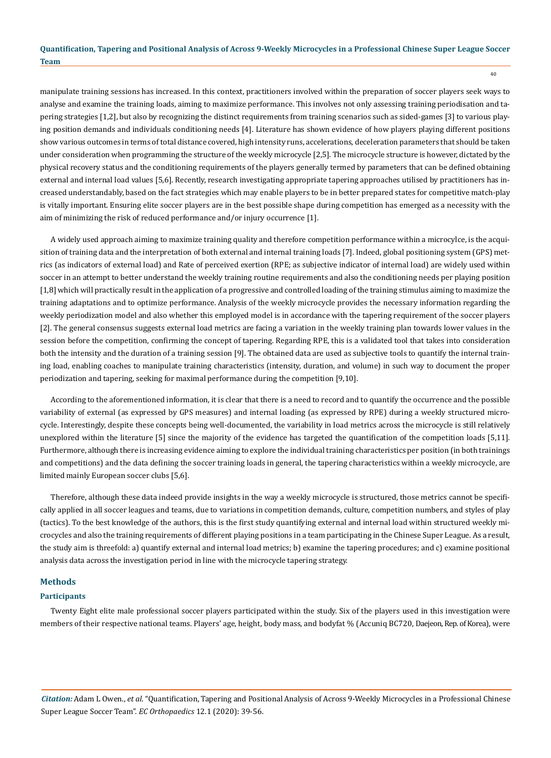manipulate training sessions has increased. In this context, practitioners involved within the preparation of soccer players seek ways to analyse and examine the training loads, aiming to maximize performance. This involves not only assessing training periodisation and tapering strategies [1,2], but also by recognizing the distinct requirements from training scenarios such as sided-games [3] to various playing position demands and individuals conditioning needs [4]. Literature has shown evidence of how players playing different positions show various outcomes in terms of total distance covered, high intensity runs, accelerations, deceleration parameters that should be taken under consideration when programming the structure of the weekly microcycle [2,5]. The microcycle structure is however, dictated by the physical recovery status and the conditioning requirements of the players generally termed by parameters that can be defined obtaining external and internal load values [5,6]. Recently, research investigating appropriate tapering approaches utilised by practitioners has increased understandably, based on the fact strategies which may enable players to be in better prepared states for competitive match-play is vitally important. Ensuring elite soccer players are in the best possible shape during competition has emerged as a necessity with the aim of minimizing the risk of reduced performance and/or injury occurrence [1].

A widely used approach aiming to maximize training quality and therefore competition performance within a microcylce, is the acquisition of training data and the interpretation of both external and internal training loads [7]. Indeed, global positioning system (GPS) metrics (as indicators of external load) and Rate of perceived exertion (RPE; as subjective indicator of internal load) are widely used within soccer in an attempt to better understand the weekly training routine requirements and also the conditioning needs per playing position [1,8] which will practically result in the application of a progressive and controlled loading of the training stimulus aiming to maximize the training adaptations and to optimize performance. Analysis of the weekly microcycle provides the necessary information regarding the weekly periodization model and also whether this employed model is in accordance with the tapering requirement of the soccer players [2]. The general consensus suggests external load metrics are facing a variation in the weekly training plan towards lower values in the session before the competition, confirming the concept of tapering. Regarding RPE, this is a validated tool that takes into consideration both the intensity and the duration of a training session [9]. The obtained data are used as subjective tools to quantify the internal training load, enabling coaches to manipulate training characteristics (intensity, duration, and volume) in such way to document the proper periodization and tapering, seeking for maximal performance during the competition [9,10].

According to the aforementioned information, it is clear that there is a need to record and to quantify the occurrence and the possible variability of external (as expressed by GPS measures) and internal loading (as expressed by RPE) during a weekly structured microcycle. Interestingly, despite these concepts being well-documented, the variability in load metrics across the microcycle is still relatively unexplored within the literature [5] since the majority of the evidence has targeted the quantification of the competition loads [5,11]. Furthermore, although there is increasing evidence aiming to explore the individual training characteristics per position (in both trainings and competitions) and the data defining the soccer training loads in general, the tapering characteristics within a weekly microcycle, are limited mainly European soccer clubs [5,6].

Therefore, although these data indeed provide insights in the way a weekly microcycle is structured, those metrics cannot be specifically applied in all soccer leagues and teams, due to variations in competition demands, culture, competition numbers, and styles of play (tactics). To the best knowledge of the authors, this is the first study quantifying external and internal load within structured weekly microcycles and also the training requirements of different playing positions in a team participating in the Chinese Super League. As a result, the study aim is threefold: a) quantify external and internal load metrics; b) examine the tapering procedures; and c) examine positional analysis data across the investigation period in line with the microcycle tapering strategy.

#### **Methods**

#### **Participants**

Twenty Eight elite male professional soccer players participated within the study. Six of the players used in this investigation were members of their respective national teams. Players' age, height, body mass, and bodyfat % (Accuniq BC720, Daejeon, Rep. of Korea), were

*Citation:* Adam L Owen., *et al*. "Quantification, Tapering and Positional Analysis of Across 9-Weekly Microcycles in a Professional Chinese Super League Soccer Team". *EC Orthopaedics* 12.1 (2020): 39-56.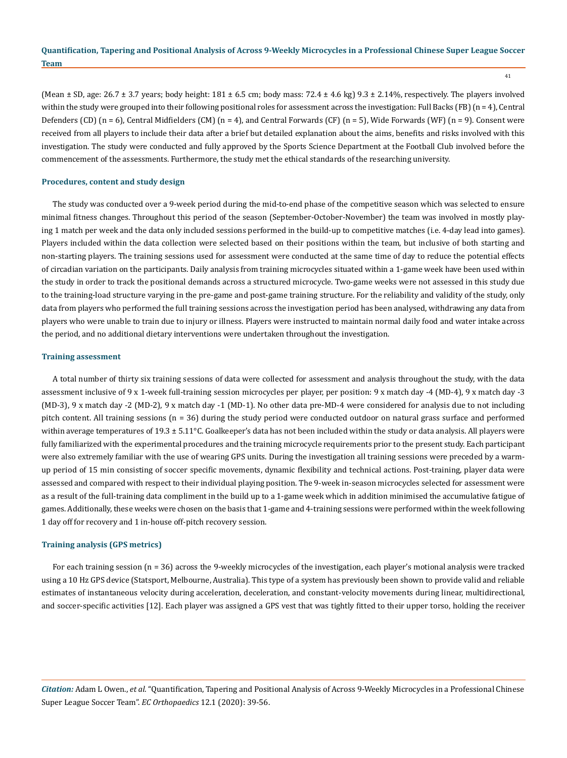41

(Mean  $\pm$  SD, age: 26.7  $\pm$  3.7 years; body height: 181  $\pm$  6.5 cm; body mass: 72.4  $\pm$  4.6 kg) 9.3  $\pm$  2.14%, respectively. The players involved within the study were grouped into their following positional roles for assessment across the investigation: Full Backs (FB) (n = 4), Central Defenders (CD) (n = 6), Central Midfielders (CM) (n = 4), and Central Forwards (CF) (n = 5), Wide Forwards (WF) (n = 9). Consent were received from all players to include their data after a brief but detailed explanation about the aims, benefits and risks involved with this investigation. The study were conducted and fully approved by the Sports Science Department at the Football Club involved before the commencement of the assessments. Furthermore, the study met the ethical standards of the researching university.

#### **Procedures, content and study design**

The study was conducted over a 9-week period during the mid-to-end phase of the competitive season which was selected to ensure minimal fitness changes. Throughout this period of the season (September-October-November) the team was involved in mostly playing 1 match per week and the data only included sessions performed in the build-up to competitive matches (i.e. 4-day lead into games). Players included within the data collection were selected based on their positions within the team, but inclusive of both starting and non-starting players. The training sessions used for assessment were conducted at the same time of day to reduce the potential effects of circadian variation on the participants. Daily analysis from training microcycles situated within a 1-game week have been used within the study in order to track the positional demands across a structured microcycle. Two-game weeks were not assessed in this study due to the training-load structure varying in the pre-game and post-game training structure. For the reliability and validity of the study, only data from players who performed the full training sessions across the investigation period has been analysed, withdrawing any data from players who were unable to train due to injury or illness. Players were instructed to maintain normal daily food and water intake across the period, and no additional dietary interventions were undertaken throughout the investigation.

#### **Training assessment**

A total number of thirty six training sessions of data were collected for assessment and analysis throughout the study, with the data assessment inclusive of 9 x 1-week full-training session microcycles per player, per position: 9 x match day -4 (MD-4), 9 x match day -3 (MD-3), 9 x match day -2 (MD-2), 9 x match day -1 (MD-1). No other data pre-MD-4 were considered for analysis due to not including pitch content. All training sessions (n = 36) during the study period were conducted outdoor on natural grass surface and performed within average temperatures of  $19.3 \pm 5.11$ °C. Goalkeeper's data has not been included within the study or data analysis. All players were fully familiarized with the experimental procedures and the training microcycle requirements prior to the present study. Each participant were also extremely familiar with the use of wearing GPS units. During the investigation all training sessions were preceded by a warmup period of 15 min consisting of soccer specific movements, dynamic flexibility and technical actions. Post-training, player data were assessed and compared with respect to their individual playing position. The 9-week in-season microcycles selected for assessment were as a result of the full-training data compliment in the build up to a 1-game week which in addition minimised the accumulative fatigue of games. Additionally, these weeks were chosen on the basis that 1-game and 4-training sessions were performed within the week following 1 day off for recovery and 1 in-house off-pitch recovery session.

#### **Training analysis (GPS metrics)**

For each training session (n = 36) across the 9-weekly microcycles of the investigation, each player's motional analysis were tracked using a 10 Hz GPS device (Statsport, Melbourne, Australia). This type of a system has previously been shown to provide valid and reliable estimates of instantaneous velocity during acceleration, deceleration, and constant-velocity movements during linear, multidirectional, and soccer-specific activities [12]. Each player was assigned a GPS vest that was tightly fitted to their upper torso, holding the receiver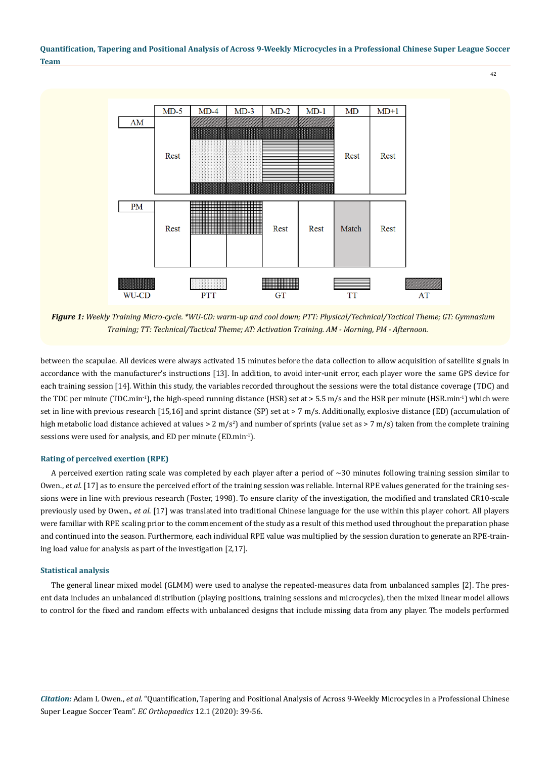

*Figure 1: Weekly Training Micro-cycle. \*WU-CD: warm-up and cool down; PTT: Physical/Technical/Tactical Theme; GT: Gymnasium Training; TT: Technical/Tactical Theme; AT: Activation Training. AM - Morning, PM - Afternoon.*

between the scapulae. All devices were always activated 15 minutes before the data collection to allow acquisition of satellite signals in accordance with the manufacturer's instructions [13]. In addition, to avoid inter-unit error, each player wore the same GPS device for each training session [14]. Within this study, the variables recorded throughout the sessions were the total distance coverage (TDC) and the TDC per minute (TDC.min<sup>-1</sup>), the high-speed running distance (HSR) set at  $> 5.5$  m/s and the HSR per minute (HSR.min<sup>-1</sup>) which were set in line with previous research [15,16] and sprint distance (SP) set at > 7 m/s. Additionally, explosive distance (ED) (accumulation of high metabolic load distance achieved at values > 2 m/s<sup>2</sup>) and number of sprints (value set as > 7 m/s) taken from the complete training sessions were used for analysis, and ED per minute (ED.min<sup>-1</sup>).

#### **Rating of perceived exertion (RPE)**

A perceived exertion rating scale was completed by each player after a period of  $\sim$ 30 minutes following training session similar to Owen., *et al*. [17] as to ensure the perceived effort of the training session was reliable. Internal RPE values generated for the training sessions were in line with previous research (Foster, 1998). To ensure clarity of the investigation, the modified and translated CR10-scale previously used by Owen., *et al*. [17] was translated into traditional Chinese language for the use within this player cohort. All players were familiar with RPE scaling prior to the commencement of the study as a result of this method used throughout the preparation phase and continued into the season. Furthermore, each individual RPE value was multiplied by the session duration to generate an RPE-training load value for analysis as part of the investigation [2,17].

#### **Statistical analysis**

The general linear mixed model (GLMM) were used to analyse the repeated-measures data from unbalanced samples [2]. The present data includes an unbalanced distribution (playing positions, training sessions and microcycles), then the mixed linear model allows to control for the fixed and random effects with unbalanced designs that include missing data from any player. The models performed

*Citation:* Adam L Owen., *et al*. "Quantification, Tapering and Positional Analysis of Across 9-Weekly Microcycles in a Professional Chinese Super League Soccer Team". *EC Orthopaedics* 12.1 (2020): 39-56.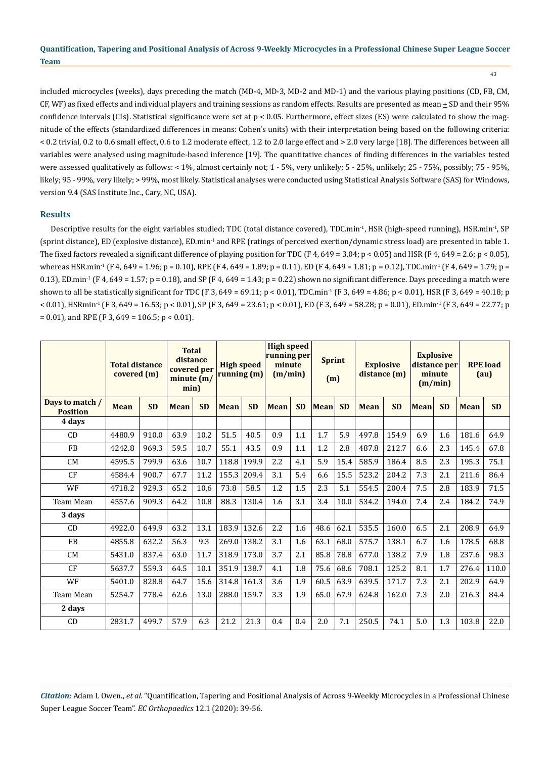43

included microcycles (weeks), days preceding the match (MD-4, MD-3, MD-2 and MD-1) and the various playing positions (CD, FB, CM, CF, WF) as fixed effects and individual players and training sessions as random effects. Results are presented as mean  $\pm$  SD and their 95% confidence intervals (CIs). Statistical significance were set at  $p \le 0.05$ . Furthermore, effect sizes (ES) were calculated to show the magnitude of the effects (standardized differences in means: Cohen's units) with their interpretation being based on the following criteria: < 0.2 trivial, 0.2 to 0.6 small effect, 0.6 to 1.2 moderate effect, 1.2 to 2.0 large effect and > 2.0 very large [18]. The differences between all variables were analysed using magnitude-based inference [19]. The quantitative chances of finding differences in the variables tested were assessed qualitatively as follows: < 1%, almost certainly not; 1 - 5%, very unlikely; 5 - 25%, unlikely; 25 - 75%, possibly; 75 - 95%, likely; 95 - 99%, very likely; > 99%, most likely. Statistical analyses were conducted using Statistical Analysis Software (SAS) for Windows, version 9.4 (SAS Institute Inc., Cary, NC, USA).

# **Results**

Descriptive results for the eight variables studied; TDC (total distance covered), TDC.min<sup>-1</sup>, HSR (high-speed running), HSR.min<sup>-1</sup>, SP (sprint distance), ED (explosive distance), ED.min-1 and RPE (ratings of perceived exertion/dynamic stress load) are presented in table 1. The fixed factors revealed a significant difference of playing position for TDC (F 4, 649 = 3.04; p < 0.05) and HSR (F 4, 649 = 2.6; p < 0.05), whereas HSR.min<sup>-1</sup> (F 4, 649 = 1.96; p = 0.10), RPE (F 4, 649 = 1.89; p = 0.11), ED (F 4, 649 = 1.81; p = 0.12), TDC.min<sup>-1</sup> (F 4, 649 = 1.79; p = 0.13), ED.min<sup>-1</sup> (F 4, 649 = 1.57; p = 0.18), and SP (F 4, 649 = 1.43; p = 0.22) shown no significant difference. Days preceding a match were shown to all be statistically significant for TDC (F 3, 649 = 69.11; p < 0.01), TDC.min<sup>-1</sup> (F 3, 649 = 4.86; p < 0.01), HSR (F 3, 649 = 40.18; p  $< 0.01$ ), HSRmin<sup>-1</sup> (F 3, 649 = 16.53; p < 0.01), SP (F 3, 649 = 23.61; p < 0.01), ED (F 3, 649 = 58.28; p = 0.01), ED.min<sup>-1</sup> (F 3, 649 = 22.77; p  $= 0.01$ , and RPE (F 3, 649 = 106.5; p < 0.01).

|                                    | <b>Total distance</b><br>covered (m) |       | <b>Total</b><br>distance<br>covered per<br>minute $(m/$<br>min) |           | <b>High speed</b><br>running(m) |           | <b>High speed</b><br>running per<br>minute<br>(m/min) |           | <b>Sprint</b><br>(m) |           | <b>Explosive</b><br>distance (m) |           | <b>Explosive</b><br>distance per<br>minute<br>(m/min) |           | <b>RPE</b> load<br>(au) |           |
|------------------------------------|--------------------------------------|-------|-----------------------------------------------------------------|-----------|---------------------------------|-----------|-------------------------------------------------------|-----------|----------------------|-----------|----------------------------------|-----------|-------------------------------------------------------|-----------|-------------------------|-----------|
| Days to match /<br><b>Position</b> | <b>SD</b><br><b>Mean</b>             |       | <b>Mean</b>                                                     | <b>SD</b> | <b>Mean</b>                     | <b>SD</b> | <b>Mean</b>                                           | <b>SD</b> | <b>Mean</b>          | <b>SD</b> | <b>Mean</b>                      | <b>SD</b> | <b>Mean</b>                                           | <b>SD</b> | <b>Mean</b>             | <b>SD</b> |
| 4 days                             |                                      |       |                                                                 |           |                                 |           |                                                       |           |                      |           |                                  |           |                                                       |           |                         |           |
| CD                                 | 4480.9                               | 910.0 | 63.9                                                            | 10.2      | 51.5                            | 40.5      | 0.9                                                   | 1.1       | 1.7                  | 5.9       | 497.8                            | 154.9     | 6.9                                                   | 1.6       | 181.6                   | 64.9      |
| <b>FB</b>                          | 4242.8                               | 969.3 | 59.5                                                            | 10.7      | 55.1                            | 43.5      | 0.9                                                   | 1.1       | 1.2                  | 2.8       | 487.8                            | 212.7     | 6.6                                                   | 2.3       | 145.4                   | 67.8      |
| <b>CM</b>                          | 4595.5                               | 799.9 | 63.6                                                            | 10.7      | 118.8                           | 199.9     | 2.2                                                   | 4.1       | 5.9                  | 15.4      | 585.9                            | 186.4     | 8.5                                                   | 2.3       | 195.3                   | 75.1      |
| CF                                 | 4584.4                               | 900.7 | 67.7                                                            | 11.2      | 155.3                           | 209.4     | 3.1                                                   | 5.4       | 6.6                  | 15.5      | 523.2                            | 204.2     | 7.3                                                   | 2.1       | 211.6                   | 86.4      |
| WF                                 | 4718.2                               | 929.3 | 65.2                                                            | 10.6      | 73.8                            | 58.5      | 1.2                                                   | 1.5       | 2.3                  | 5.1       | 554.5                            | 200.4     | 7.5                                                   | 2.8       | 183.9                   | 71.5      |
| Team Mean                          | 4557.6                               | 909.3 | 64.2                                                            | 10.8      | 88.3                            | 130.4     | 1.6                                                   | 3.1       | 3.4                  | 10.0      | 534.2                            | 194.0     | 7.4                                                   | 2.4       | 184.2                   | 74.9      |
| 3 days                             |                                      |       |                                                                 |           |                                 |           |                                                       |           |                      |           |                                  |           |                                                       |           |                         |           |
| CD                                 | 4922.0                               | 649.9 | 63.2                                                            | 13.1      | 183.9                           | 132.6     | 2.2                                                   | 1.6       | 48.6                 | 62.1      | 535.5                            | 160.0     | 6.5                                                   | 2.1       | 208.9                   | 64.9      |
| <b>FB</b>                          | 4855.8                               | 632.2 | 56.3                                                            | 9.3       | 269.0                           | 138.2     | 3.1                                                   | 1.6       | 63.1                 | 68.0      | 575.7                            | 138.1     | 6.7                                                   | 1.6       | 178.5                   | 68.8      |
| <b>CM</b>                          | 5431.0                               | 837.4 | 63.0                                                            | 11.7      | 318.9                           | 173.0     | 3.7                                                   | 2.1       | 85.8                 | 78.8      | 677.0                            | 138.2     | 7.9                                                   | 1.8       | 237.6                   | 98.3      |
| CF                                 | 5637.7                               | 559.3 | 64.5                                                            | 10.1      | 351.9                           | 138.7     | 4.1                                                   | 1.8       | 75.6                 | 68.6      | 708.1                            | 125.2     | 8.1                                                   | 1.7       | 276.4                   | 110.0     |
| WF                                 | 5401.0                               | 828.8 | 64.7                                                            | 15.6      | 314.8                           | 161.3     | 3.6                                                   | 1.9       | 60.5                 | 63.9      | 639.5                            | 171.7     | 7.3                                                   | 2.1       | 202.9                   | 64.9      |
| Team Mean                          | 5254.7                               | 778.4 | 62.6                                                            | 13.0      | 288.0                           | 159.7     | 3.3                                                   | 1.9       | 65.0                 | 67.9      | 624.8                            | 162.0     | 7.3                                                   | 2.0       | 216.3                   | 84.4      |
| 2 days                             |                                      |       |                                                                 |           |                                 |           |                                                       |           |                      |           |                                  |           |                                                       |           |                         |           |
| CD                                 | 2831.7                               | 499.7 | 57.9                                                            | 6.3       | 21.2                            | 21.3      | 0.4                                                   | 0.4       | 2.0                  | 7.1       | 250.5                            | 74.1      | 5.0                                                   | 1.3       | 103.8                   | 22.0      |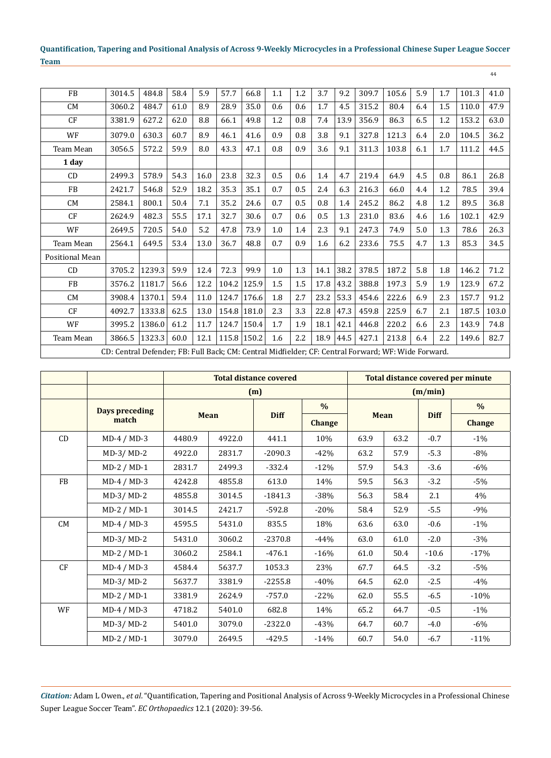44

| <b>FB</b>              | 3014.5                                                                                              | 484.8  | 58.4 | 5.9  | 57.7        | 66.8  | 1.1 | 1.2 | 3.7  | 9.2  | 309.7 | 105.6 | 5.9 | $1.7\,$ | 101.3 | 41.0  |
|------------------------|-----------------------------------------------------------------------------------------------------|--------|------|------|-------------|-------|-----|-----|------|------|-------|-------|-----|---------|-------|-------|
| CM                     | 3060.2                                                                                              | 484.7  | 61.0 | 8.9  | 28.9        | 35.0  | 0.6 | 0.6 | 1.7  | 4.5  | 315.2 | 80.4  | 6.4 | 1.5     | 110.0 | 47.9  |
| CF                     | 3381.9                                                                                              | 627.2  | 62.0 | 8.8  | 66.1        | 49.8  | 1.2 | 0.8 | 7.4  | 13.9 | 356.9 | 86.3  | 6.5 | 1.2     | 153.2 | 63.0  |
| WF                     | 3079.0                                                                                              | 630.3  | 60.7 | 8.9  | 46.1        | 41.6  | 0.9 | 0.8 | 3.8  | 9.1  | 327.8 | 121.3 | 6.4 | 2.0     | 104.5 | 36.2  |
| <b>Team Mean</b>       | 3056.5                                                                                              | 572.2  | 59.9 | 8.0  | 43.3        | 47.1  | 0.8 | 0.9 | 3.6  | 9.1  | 311.3 | 103.8 | 6.1 | 1.7     | 111.2 | 44.5  |
| 1 day                  |                                                                                                     |        |      |      |             |       |     |     |      |      |       |       |     |         |       |       |
| CD                     | 2499.3                                                                                              | 578.9  | 54.3 | 16.0 | 23.8        | 32.3  | 0.5 | 0.6 | 1.4  | 4.7  | 219.4 | 64.9  | 4.5 | 0.8     | 86.1  | 26.8  |
| <b>FB</b>              | 2421.7                                                                                              | 546.8  | 52.9 | 18.2 | 35.3        | 35.1  | 0.7 | 0.5 | 2.4  | 6.3  | 216.3 | 66.0  | 4.4 | 1.2     | 78.5  | 39.4  |
| <b>CM</b>              | 2584.1                                                                                              | 800.1  | 50.4 | 7.1  | 35.2        | 24.6  | 0.7 | 0.5 | 0.8  | 1.4  | 245.2 | 86.2  | 4.8 | 1.2     | 89.5  | 36.8  |
| CF                     | 2624.9                                                                                              | 482.3  | 55.5 | 17.1 | 32.7        | 30.6  | 0.7 | 0.6 | 0.5  | 1.3  | 231.0 | 83.6  | 4.6 | 1.6     | 102.1 | 42.9  |
| WF                     | 2649.5                                                                                              | 720.5  | 54.0 | 5.2  | 47.8        | 73.9  | 1.0 | 1.4 | 2.3  | 9.1  | 247.3 | 74.9  | 5.0 | 1.3     | 78.6  | 26.3  |
| Team Mean              | 2564.1                                                                                              | 649.5  | 53.4 | 13.0 | 36.7        | 48.8  | 0.7 | 0.9 | 1.6  | 6.2  | 233.6 | 75.5  | 4.7 | 1.3     | 85.3  | 34.5  |
| <b>Positional Mean</b> |                                                                                                     |        |      |      |             |       |     |     |      |      |       |       |     |         |       |       |
| CD                     | 3705.2                                                                                              | 1239.3 | 59.9 | 12.4 | 72.3        | 99.9  | 1.0 | 1.3 | 14.1 | 38.2 | 378.5 | 187.2 | 5.8 | 1.8     | 146.2 | 71.2  |
| <b>FB</b>              | 3576.2                                                                                              | 1181.7 | 56.6 | 12.2 | 104.2       | 125.9 | 1.5 | 1.5 | 17.8 | 43.2 | 388.8 | 197.3 | 5.9 | 1.9     | 123.9 | 67.2  |
| <b>CM</b>              | 3908.4                                                                                              | 1370.1 | 59.4 | 11.0 | 124.7       | 176.6 | 1.8 | 2.7 | 23.2 | 53.3 | 454.6 | 222.6 | 6.9 | 2.3     | 157.7 | 91.2  |
| CF                     | 4092.7                                                                                              | 1333.8 | 62.5 | 13.0 | 154.8       | 181.0 | 2.3 | 3.3 | 22.8 | 47.3 | 459.8 | 225.9 | 6.7 | 2.1     | 187.5 | 103.0 |
| WF                     | 3995.2                                                                                              | 1386.0 | 61.2 | 11.7 | 124.7       | 150.4 | 1.7 | 1.9 | 18.1 | 42.1 | 446.8 | 220.2 | 6.6 | 2.3     | 143.9 | 74.8  |
| Team Mean              | 3866.5                                                                                              | 1323.3 | 60.0 | 12.1 | 115.8 150.2 |       | 1.6 | 2.2 | 18.9 | 44.5 | 427.1 | 213.8 | 6.4 | 2.2     | 149.6 | 82.7  |
|                        | CD: Central Defender; FB: Full Back; CM: Central Midfielder; CF: Central Forward; WF: Wide Forward. |        |      |      |             |       |     |     |      |      |       |       |     |         |       |       |

|           |                       |                  |             | <b>Total distance covered</b> |               | Total distance covered per minute |      |             |               |  |  |  |
|-----------|-----------------------|------------------|-------------|-------------------------------|---------------|-----------------------------------|------|-------------|---------------|--|--|--|
|           |                       |                  |             | (m)                           |               | (m/min)                           |      |             |               |  |  |  |
|           | <b>Days preceding</b> |                  |             |                               | $\frac{0}{0}$ |                                   |      |             | $\frac{0}{0}$ |  |  |  |
|           | match                 |                  | <b>Mean</b> | <b>Diff</b>                   | <b>Change</b> | <b>Mean</b>                       |      | <b>Diff</b> | <b>Change</b> |  |  |  |
| CD        | $MD-4 / MD-3$         | 4480.9           | 4922.0      | 441.1                         | 10%           | 63.9                              | 63.2 | $-0.7$      | $-1\%$        |  |  |  |
|           | $MD-3/MD-2$           | 4922.0           | 2831.7      | $-2090.3$                     | $-42%$        | 63.2                              | 57.9 | $-5.3$      | $-8%$         |  |  |  |
|           | $MD-2 / MD-1$         | 2831.7           | 2499.3      | $-332.4$                      | $-12%$        | 57.9                              | 54.3 | $-3.6$      | $-6\%$        |  |  |  |
| <b>FB</b> | $MD-4 / MD-3$         | 4242.8           | 4855.8      | 613.0                         | 14%           | 59.5                              | 56.3 | $-3.2$      | $-5%$         |  |  |  |
|           | $MD-3/MD-2$           | 4855.8           | 3014.5      | $-1841.3$                     | $-38%$        | 56.3                              | 58.4 | 2.1         | 4%            |  |  |  |
|           | $MD-2 / MD-1$         | 2421.7<br>3014.5 |             | $-592.8$                      | $-20%$        | 58.4                              | 52.9 | $-5.5$      | $-9%$         |  |  |  |
| CM        | $MD-4 / MD-3$         | 4595.5<br>5431.0 |             | 835.5                         | 18%           | 63.6                              | 63.0 | $-0.6$      | $-1\%$        |  |  |  |
|           | $MD-3/MD-2$           | 5431.0           | 3060.2      | $-2370.8$                     | $-44%$        | 63.0                              | 61.0 | $-2.0$      | $-3%$         |  |  |  |
|           | $MD-2 / MD-1$         | 3060.2           | 2584.1      | $-476.1$                      | $-16%$        | 61.0                              | 50.4 | $-10.6$     | $-17%$        |  |  |  |
| CF        | $MD-4 / MD-3$         | 4584.4           | 5637.7      | 1053.3                        | 23%           | 67.7                              | 64.5 | $-3.2$      | $-5%$         |  |  |  |
|           | $MD-3/MD-2$           | 5637.7           | 3381.9      | $-2255.8$                     | $-40%$        | 64.5                              | 62.0 | $-2.5$      | $-4%$         |  |  |  |
|           | $MD-2 / MD-1$         | 3381.9           | 2624.9      | $-757.0$                      | $-22%$        | 62.0                              | 55.5 | $-6.5$      | $-10%$        |  |  |  |
| WF        | $MD-4 / MD-3$         | 4718.2           | 5401.0      | 682.8                         | 14%           | 65.2                              | 64.7 | $-0.5$      | $-1\%$        |  |  |  |
|           | $MD-3/MD-2$           | 5401.0           | 3079.0      | $-2322.0$                     | $-43%$        | 64.7                              | 60.7 | $-4.0$      | $-6\%$        |  |  |  |
|           | $MD-2 / MD-1$         | 3079.0           | 2649.5      | $-429.5$                      | $-14%$        | 60.7                              | 54.0 | $-6.7$      | $-11%$        |  |  |  |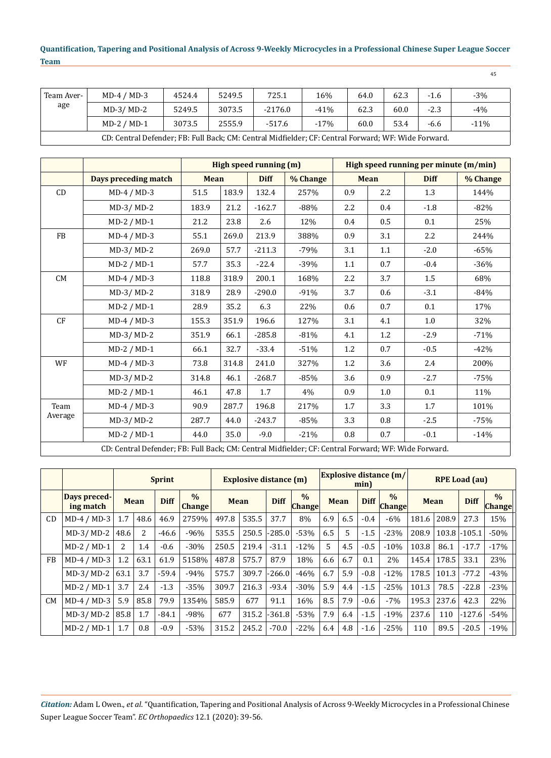| Team Aver-<br>age | $MD-4 / MD-3$                                                                                       | 4524.4 | 5249.5 | 725.1     | 16%    | 64.0 | 62.3 |        | $-3%$  |  |  |  |  |  |
|-------------------|-----------------------------------------------------------------------------------------------------|--------|--------|-----------|--------|------|------|--------|--------|--|--|--|--|--|
|                   | $MD-3/MD-2$                                                                                         | 5249.5 | 3073.5 | $-2176.0$ | $-41%$ | 62.3 | 60.0 | $-2.3$ | $-4%$  |  |  |  |  |  |
|                   | $MD-2 / MD-1$                                                                                       | 3073.5 | 2555.9 | $-517.6$  | $-17%$ | 60.0 | 53.4 | $-6.6$ | $-11%$ |  |  |  |  |  |
|                   | CD: Central Defender; FB: Full Back; CM: Central Midfielder; CF: Central Forward; WF: Wide Forward. |        |        |           |        |      |      |        |        |  |  |  |  |  |

**High speed running (m) High speed running per minute (m/min) Days preceding match Mean Diff % Change Mean Diff % Change** CD MD-4 / MD-3  $\begin{vmatrix} 51.5 & 183.9 & 132.4 & 257\% & 0.9 & 2.2 & 1.3 \end{vmatrix}$  144% MD-3/ MD-2  $|183.9 |21.2 |162.7 | 388\% |2.2 | 0.4 | 1.8 | 82\%$ MD-2 / MD-1 21.2 23.8 2.6 12% 0.4 0.5 0.1 25% FB  $\vert$  MD-4 / MD-3  $\vert$  55.1 269.0 213.9 388% 0.9 3.1 2.2 2.2 244% MD-3/ MD-2  $\begin{array}{|c|c|c|c|c|c|c|c|c|} \hline \text{M.D-3/MD-2} & \text{269.0} & \text{57.7} & \text{-211.3} & \text{-79\%} & \text{3.1} & \text{1.1} & \text{-2.0} & \text{-65\%} \ \hline \end{array}$ MD-2 / MD-1  $\begin{array}{|c|c|c|c|c|c|c|c|c|} \hline \text{M.D-2} & 57.7 & 35.3 & -22.4 & -39\% & 1.1 & 0.7 & -0.4 & -36\% \hline \end{array}$ CM | MD-4 / MD-3 | 118.8 | 318.9 | 200.1 | 168% | 2.2 | 3.7 | 1.5 | 68% MD-3/ MD-2  $|318.9 |28.9 |-290.0 | -91\% |3.7 |0.6 | -3.1 | -84\%$ MD-2 / MD-1 28.9 35.2 6.3 22% 0.6 0.7 0.1 17% CF | MD-4 / MD-3 | 155.3 | 351.9 | 196.6 | 127% | 3.1 | 4.1 | 1.0 | 32% MD-3/ MD-2  $\begin{array}{|c|c|c|c|c|c|c|c|c|} \hline \end{array}$  351.9 | 66.1 | -285.8 | -81% | 4.1 | 1.2 | -2.9 | -71% MD-2 / MD-1 66.1 32.7 -33.4 -51% 1.2 0.7 -0.5 -42% WF | MD-4 / MD-3 | 73.8 | 314.8 | 241.0 | 327% | 1.2 | 3.6 | 2.4 | 200% MD-3/ MD-2 | 314.8 | 46.1 | -268.7 | -85% | 3.6 | 0.9 | -2.7 | -75% MD-2 / MD-1  $\begin{array}{|c|c|c|c|c|c|c|c|} \hline \end{array}$  47.8 1.7 4% 0.9 1.0 0.1 11% Team Average MD-4 / MD-3 | 90.9 | 287.7 | 196.8 | 217% | 1.7 | 3.3 | 1.7 | 101% MD-3/ MD-2  $|287.7 + 44.0 + 243.7 + 85\%|3.3 + 0.8 + 2.5 + 75\%$ MD-2 / MD-1  $\begin{array}{|c|c|c|c|c|c|c|c|c|} \hline \end{array}$  44.0  $\begin{array}{|c|c|c|c|c|c|c|} \hline \end{array}$  -21%  $\begin{array}{|c|c|c|c|c|c|} \hline \end{array}$  -0.1  $\begin{array}{|c|c|c|c|c|c|} \hline \end{array}$  -14% CD: Central Defender; FB: Full Back; CM: Central Midfielder; CF: Central Forward; WF: Wide Forward.

|           |                           |                |             | <b>Sprint</b> |                                | <b>Explosive distance (m)</b> |       |             | min)                           | <b>Explosive distance (m/</b> | <b>RPE Load (au)</b> |             |                                |             |       |             |                                |
|-----------|---------------------------|----------------|-------------|---------------|--------------------------------|-------------------------------|-------|-------------|--------------------------------|-------------------------------|----------------------|-------------|--------------------------------|-------------|-------|-------------|--------------------------------|
|           | Days preced-<br>ing match |                | <b>Mean</b> | <b>Diff</b>   | $\frac{0}{0}$<br><b>Change</b> | <b>Mean</b>                   |       | <b>Diff</b> | $\frac{0}{0}$<br><b>Change</b> | <b>Mean</b>                   |                      | <b>Diff</b> | $\frac{0}{0}$<br><b>Change</b> | <b>Mean</b> |       | <b>Diff</b> | $\frac{0}{0}$<br><b>Change</b> |
| CD        | $MD-4 / MD-3$             | 1.7            | 48.6        | 46.9          | 2759%                          | 497.8                         | 535.5 | 37.7        | 8%                             | 6.9                           | 6.5                  | $-0.4$      | $-6%$                          | 181.6       | 208.9 | 27.3        | 15%                            |
|           | $MD-3/MD-2$               | 48.6           | 2           | $-46.6$       | $-96%$                         | 535.5                         | 250.5 | $-285.0$    | $-53%$                         | 6.5                           | 5                    | $-1.5$      | $-23%$                         | 208.9       | 103.8 | $-105.1$    | $-50%$                         |
|           | $MD-2 / MD-1$             | $\overline{2}$ | 1.4         | $-0.6$        | $-30%$                         | 250.5                         | 219.4 | $-31.1$     | $-12%$                         | 5                             | 4.5                  | $-0.5$      | $-10%$                         | 103.8       | 86.1  | $-17.7$     | $-17%$                         |
| <b>FB</b> | $MD-4 / MD-3$             | 1.2            | 63.1        | 61.9          | 5158%                          | 487.8                         | 575.7 | 87.9        | 18%                            | 6.6                           | 6.7                  | 0.1         | 2%                             | 145.4       | 178.5 | 33.1        | 23%                            |
|           | $MD-3/MD-2$               | 63.1           | 3.7         | $-59.4$       | $-94%$                         | 575.7                         | 309.7 | $-266.0$    | $-46%$                         | 6.7                           | 5.9                  | $-0.8$      | $-12%$                         | 178.5       | 101.3 | $-77.2$     | $-43%$                         |
|           | $MD-2 / MD-1$             | 3.7            | 2.4         | $-1.3$        | $-35%$                         | 309.7                         | 216.3 | $-93.4$     | $-30%$                         | 5.9                           | 4.4                  | $-1.5$      | $-25%$                         | 101.3       | 78.5  | $-22.8$     | $-23%$                         |
| <b>CM</b> | $MD-4 / MD-3$             | 5.9            | 85.8        | 79.9          | 1354%                          | 585.9                         | 677   | 91.1        | 16%                            | 8.5                           | 7.9                  | $-0.6$      | $-7%$                          | 195.3       | 237.6 | 42.3        | 22%                            |
|           | $MD-3/MD-2$               | 85.8           | 1.7         | $-84.1$       | $-98%$                         | 677                           | 315.2 | $-361.8$    | $-53%$                         | 7.9                           | 6.4                  | $-1.5$      | $-19%$                         | 237.6       | 110   | $-127.6$    | $-54%$                         |
|           | $MD-2 / MD-1$             | 1.7            | 0.8         | $-0.9$        | $-53%$                         | 315.2                         | 245.2 | $-70.0$     | $-22%$                         | 6.4                           | 4.8                  | $-1.6$      | $-25%$                         | 110         | 89.5  | $-20.5$     | $-19%$                         |

*Citation:* Adam L Owen., *et al*. "Quantification, Tapering and Positional Analysis of Across 9-Weekly Microcycles in a Professional Chinese Super League Soccer Team". *EC Orthopaedics* 12.1 (2020): 39-56.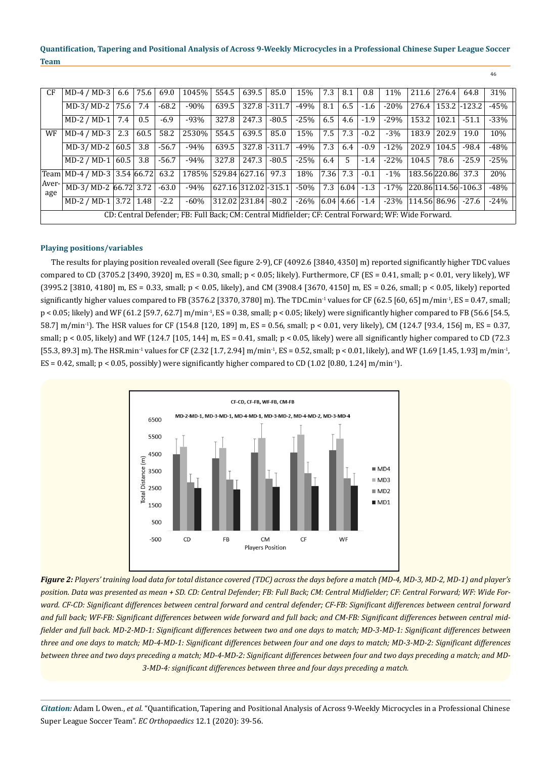| CF           | $MD-4 / MD-3$                     | 6.6  | 75.6 | 69.0    | 1045%                                                                                               | 554.5                      | 639.5 | 85.0          | 15%     | 7.3  | 8.1           | 0.8    | 11%    | 211.6                         | 276.4 | 64.8           | 31%    |
|--------------|-----------------------------------|------|------|---------|-----------------------------------------------------------------------------------------------------|----------------------------|-------|---------------|---------|------|---------------|--------|--------|-------------------------------|-------|----------------|--------|
|              | $MD-3/MD-2$                       | 75.6 | 7.4  | $-68.2$ | $-90%$                                                                                              | 639.5                      |       | 327.8 - 311.7 | -49%    | 8.1  | 6.5           | $-1.6$ | $-20%$ | 276.4                         |       | $153.2$ -123.2 | $-45%$ |
|              | $MD-2 / MD-1$                     | 7.4  | 0.5  | $-6.9$  | $-93%$                                                                                              | 327.8                      | 247.3 | $-80.5$       | $-25%$  | 6.5  | 4.6           | $-1.9$ | $-29%$ | 153.2                         | 102.1 | $-51.1$        | $-33%$ |
| WF           | $MD-4 / MD-3$                     | 2.3  | 60.5 | 58.2    | 2530%                                                                                               | 554.5                      | 639.5 | 85.0          | 15%     | 7.5  | 7.3           | $-0.2$ | $-3%$  | 183.9                         | 202.9 | 19.0           | 10%    |
|              | $MD-3/MD-2$                       | 60.5 | 3.8  | $-56.7$ | $-94%$                                                                                              | 639.5                      |       | 327.8 - 311.7 | -49%    | 7.3  | 6.4           | $-0.9$ | $-12%$ | 202.9                         | 104.5 | $-98.4$        | $-48%$ |
|              | MD-2 / MD-1 $ 60.5 $              |      | 3.8  | $-56.7$ | $-94%$                                                                                              | 327.8                      | 247.3 | $-80.5$       | $-25%$  | 6.4  | 5             | $-1.4$ | $-22%$ | 104.5                         | 78.6  | $-25.9$        | $-25%$ |
|              | Team   MD-4 / MD-3   3.54   66.72 |      |      | 63.2    | 1785% 529.84 627.16                                                                                 |                            |       | 97.3          | 18%     | 7.36 | 7.3           | $-0.1$ | $-1\%$ | 183.56 220.86                 |       | 37.3           | 20%    |
| Aver-<br>age | MD-3/MD-2 66.72 3.72              |      |      | $-63.0$ | $-94%$                                                                                              | $ 627.16 312.02  - 315.1 $ |       |               | -50%    |      | 7.3   6.04    | $-1.3$ |        | $-17\%$ 220.86 114.56 - 106.3 |       |                | $-48%$ |
|              | MD-2 / MD-1 3.72   1.48           |      |      | $-2.2$  | $-60\%$                                                                                             | $ 312.02 231.84  -80.2$    |       |               | $-26\%$ |      | $6.04$   4.66 | $-1.4$ |        | $-23\%$   114.56   86.96      |       | $-27.6$        | $-24%$ |
|              |                                   |      |      |         | CD: Central Defender; FB: Full Back; CM: Central Midfielder; CF: Central Forward; WF: Wide Forward. |                            |       |               |         |      |               |        |        |                               |       |                |        |

# **Playing positions/variables**

The results for playing position revealed overall (See figure 2-9), CF (4092.6 [3840, 4350] m) reported significantly higher TDC values compared to CD (3705.2 [3490, 3920] m, ES = 0.30, small;  $p < 0.05$ ; likely). Furthermore, CF (ES = 0.41, small;  $p < 0.01$ , very likely), WF (3995.2 [3810, 4180] m, ES = 0.33, small; p < 0.05, likely), and CM (3908.4 [3670, 4150] m, ES = 0.26, small; p < 0.05, likely) reported significantly higher values compared to FB (3576.2 [3370, 3780] m). The TDC.min<sup>-1</sup> values for CF (62.5 [60, 65] m/min<sup>-1</sup>, ES = 0.47, small; p < 0.05; likely) and WF (61.2 [59.7, 62.7] m/min-1, ES = 0.38, small; p < 0.05; likely) were significantly higher compared to FB (56.6 [54.5, 58.7] m/min-1). The HSR values for CF (154.8 [120, 189] m, ES = 0.56, small; p < 0.01, very likely), CM (124.7 [93.4, 156] m, ES = 0.37, small;  $p < 0.05$ , likely) and WF (124.7 [105, 144] m, ES = 0.41, small;  $p < 0.05$ , likely) were all significantly higher compared to CD (72.3) [55.3, 89.3] m). The HSR.min<sup>-1</sup> values for CF (2.32 [1.7, 2.94] m/min<sup>-1</sup>, ES = 0.52, small; p < 0.01, likely), and WF (1.69 [1.45, 1.93] m/min<sup>-1</sup>, ES = 0.42, small;  $p < 0.05$ , possibly) were significantly higher compared to CD (1.02 [0.80, 1.24] m/min<sup>-1</sup>).



*Figure 2: Players' training load data for total distance covered (TDC) across the days before a match (MD-4, MD-3, MD-2, MD-1) and player's position. Data was presented as mean + SD. CD: Central Defender; FB: Full Back; CM: Central Midfielder; CF: Central Forward; WF: Wide Forward. CF-CD: Significant differences between central forward and central defender; CF-FB: Significant differences between central forward and full back; WF-FB: Significant differences between wide forward and full back; and CM-FB: Significant differences between central midfielder and full back. MD-2-MD-1: Significant differences between two and one days to match; MD-3-MD-1: Significant differences between three and one days to match; MD-4-MD-1: Significant differences between four and one days to match; MD-3-MD-2: Significant differences between three and two days preceding a match; MD-4-MD-2: Significant differences between four and two days preceding a match; and MD-3-MD-4: significant differences between three and four days preceding a match.* 

*Citation:* Adam L Owen., *et al*. "Quantification, Tapering and Positional Analysis of Across 9-Weekly Microcycles in a Professional Chinese Super League Soccer Team". *EC Orthopaedics* 12.1 (2020): 39-56.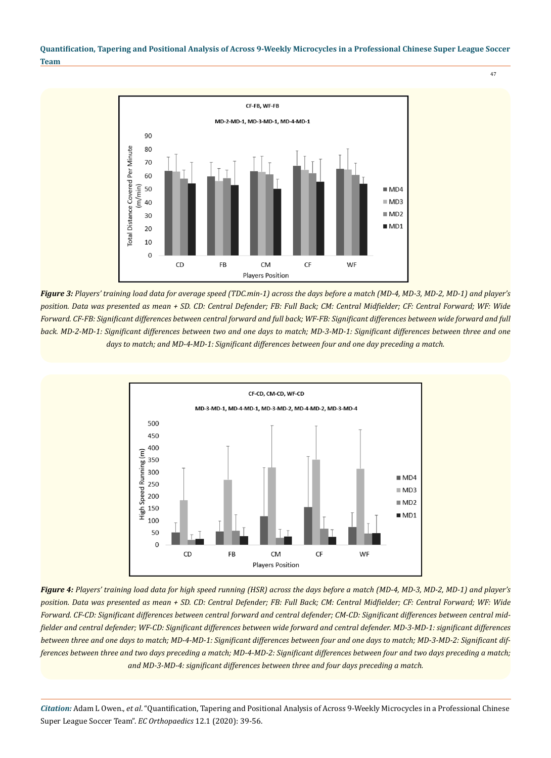

*Figure 3: Players' training load data for average speed (TDC.min-1) across the days before a match (MD-4, MD-3, MD-2, MD-1) and player's position. Data was presented as mean + SD. CD: Central Defender; FB: Full Back; CM: Central Midfielder; CF: Central Forward; WF: Wide Forward. CF-FB: Significant differences between central forward and full back; WF-FB: Significant differences between wide forward and full*  back. MD-2-MD-1: Significant differences between two and one days to match; MD-3-MD-1: Significant differences between three and one *days to match; and MD-4-MD-1: Significant differences between four and one day preceding a match.* 



*Figure 4: Players' training load data for high speed running (HSR) across the days before a match (MD-4, MD-3, MD-2, MD-1) and player's position. Data was presented as mean + SD. CD: Central Defender; FB: Full Back; CM: Central Midfielder; CF: Central Forward; WF: Wide Forward. CF-CD: Significant differences between central forward and central defender; CM-CD: Significant differences between central midfielder and central defender; WF-CD: Significant differences between wide forward and central defender. MD-3-MD-1: significant differences between three and one days to match; MD-4-MD-1: Significant differences between four and one days to match; MD-3-MD-2: Significant differences between three and two days preceding a match; MD-4-MD-2: Significant differences between four and two days preceding a match; and MD-3-MD-4: significant differences between three and four days preceding a match.*

*Citation:* Adam L Owen., *et al*. "Quantification, Tapering and Positional Analysis of Across 9-Weekly Microcycles in a Professional Chinese Super League Soccer Team". *EC Orthopaedics* 12.1 (2020): 39-56.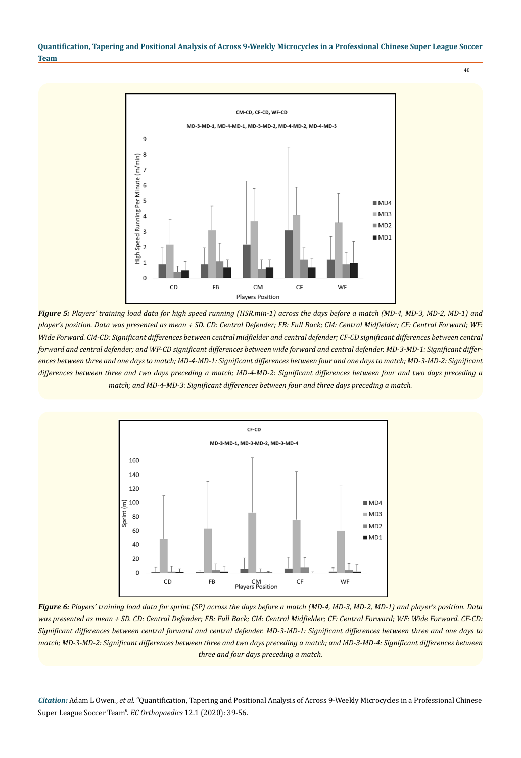

*Figure 5: Players' training load data for high speed running (HSR.min-1) across the days before a match (MD-4, MD-3, MD-2, MD-1) and player's position. Data was presented as mean + SD. CD: Central Defender; FB: Full Back; CM: Central Midfielder; CF: Central Forward; WF: Wide Forward. CM-CD: Significant differences between central midfielder and central defender; CF-CD significant differences between central forward and central defender; and WF-CD significant differences between wide forward and central defender. MD-3-MD-1: Significant differences between three and one days to match; MD-4-MD-1: Significant differences between four and one days to match; MD-3-MD-2: Significant differences between three and two days preceding a match; MD-4-MD-2: Significant differences between four and two days preceding a match; and MD-4-MD-3: Significant differences between four and three days preceding a match.*



*Figure 6: Players' training load data for sprint (SP) across the days before a match (MD-4, MD-3, MD-2, MD-1) and player's position. Data was presented as mean + SD. CD: Central Defender; FB: Full Back; CM: Central Midfielder; CF: Central Forward; WF: Wide Forward. CF-CD: Significant differences between central forward and central defender. MD-3-MD-1: Significant differences between three and one days to match; MD-3-MD-2: Significant differences between three and two days preceding a match; and MD-3-MD-4: Significant differences between three and four days preceding a match.*

*Citation:* Adam L Owen., *et al*. "Quantification, Tapering and Positional Analysis of Across 9-Weekly Microcycles in a Professional Chinese Super League Soccer Team". *EC Orthopaedics* 12.1 (2020): 39-56.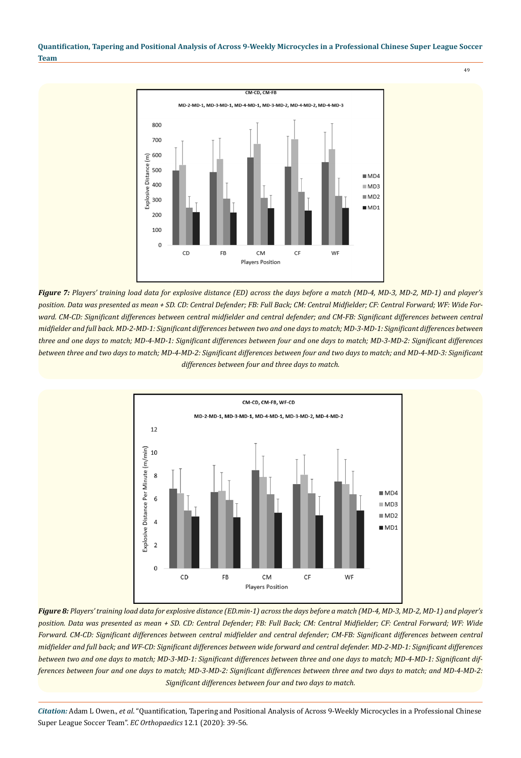

*Figure 7: Players' training load data for explosive distance (ED) across the days before a match (MD-4, MD-3, MD-2, MD-1) and player's position. Data was presented as mean + SD. CD: Central Defender; FB: Full Back; CM: Central Midfielder; CF: Central Forward; WF: Wide For*ward. CM-CD: Significant differences between central midfielder and central defender; and CM-FB: Significant differences between central *midfielder and full back. MD-2-MD-1: Significant differences between two and one days to match; MD-3-MD-1: Significant differences between three and one days to match; MD-4-MD-1: Significant differences between four and one days to match; MD-3-MD-2: Significant differences between three and two days to match; MD-4-MD-2: Significant differences between four and two days to match; and MD-4-MD-3: Significant differences between four and three days to match.* 



*Figure 8: Players' training load data for explosive distance (ED.min-1) across the days before a match (MD-4, MD-3, MD-2, MD-1) and player's position. Data was presented as mean + SD. CD: Central Defender; FB: Full Back; CM: Central Midfielder; CF: Central Forward; WF: Wide Forward. CM-CD: Significant differences between central midfielder and central defender; CM-FB: Significant differences between central midfielder and full back; and WF-CD: Significant differences between wide forward and central defender. MD-2-MD-1: Significant differences between two and one days to match; MD-3-MD-1: Significant differences between three and one days to match; MD-4-MD-1: Significant differences between four and one days to match; MD-3-MD-2: Significant differences between three and two days to match; and MD-4-MD-2: Significant differences between four and two days to match.*

*Citation:* Adam L Owen., *et al*. "Quantification, Tapering and Positional Analysis of Across 9-Weekly Microcycles in a Professional Chinese Super League Soccer Team". *EC Orthopaedics* 12.1 (2020): 39-56.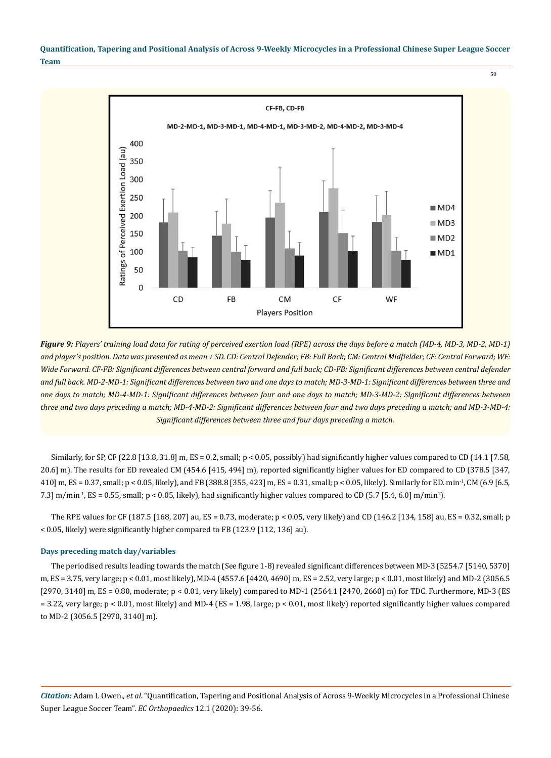> CF-FB, CD-FB MD-2-MD-1, MD-3-MD-1, MD-4-MD-1, MD-3-MD-2, MD-4-MD-2, MD-3-MD-4 400 Ratings of Perceived Exertion Load (au) 350 300 250  $MDA$ 200  $MDS$ 150  $MDD2$ 100  $MDI$ 50  $\Omega$ FB CD CM CF WF Players Position

*Figure 9: Players' training load data for rating of perceived exertion load (RPE) across the days before a match (MD-4, MD-3, MD-2, MD-1) and player's position. Data was presented as mean + SD. CD: Central Defender; FB: Full Back; CM: Central Midfielder; CF: Central Forward; WF:*  Wide Forward. CF-FB: Significant differences between central forward and full back; CD-FB: Significant differences between central defender *and full back. MD-2-MD-1: Significant differences between two and one days to match; MD-3-MD-1: Significant differences between three and one days to match; MD-4-MD-1: Significant differences between four and one days to match; MD-3-MD-2: Significant differences between three and two days preceding a match; MD-4-MD-2: Significant differences between four and two days preceding a match; and MD-3-MD-4: Significant differences between three and four days preceding a match.*

Similarly, for SP, CF (22.8 [13.8, 31.8] m, ES = 0.2, small;  $p < 0.05$ , possibly) had significantly higher values compared to CD (14.1 [7.58, 20.6] m). The results for ED revealed CM (454.6 [415, 494] m), reported significantly higher values for ED compared to CD (378.5 [347, 410] m, ES = 0.37, small; p < 0.05, likely), and FB (388.8 [355, 423] m, ES = 0.31, small; p < 0.05, likely). Similarly for ED. min-1, CM (6.9 [6.5, 7.3] m/min<sup>-1</sup>, ES = 0.55, small;  $p < 0.05$ , likely), had significantly higher values compared to CD (5.7 [5.4, 6.0] m/min<sup>1</sup>).

The RPE values for CF (187.5 [168, 207] au, ES = 0.73, moderate; p < 0.05, very likely) and CD (146.2 [134, 158] au, ES = 0.32, small; p < 0.05, likely) were significantly higher compared to FB (123.9 [112, 136] au).

#### **Days preceding match day/variables**

The periodised results leading towards the match (See figure 1-8) revealed significant differences between MD-3 (5254.7 [5140, 5370] m, ES = 3.75, very large; p < 0.01, most likely), MD-4 (4557.6 [4420, 4690] m, ES = 2.52, very large; p < 0.01, most likely) and MD-2 (3056.5 [2970, 3140] m, ES = 0.80, moderate; p < 0.01, very likely) compared to MD-1 (2564.1 [2470, 2660] m) for TDC. Furthermore, MD-3 (ES = 3.22, very large; p < 0.01, most likely) and MD-4 (ES = 1.98, large; p < 0.01, most likely) reported significantly higher values compared to MD-2 (3056.5 [2970, 3140] m).

*Citation:* Adam L Owen., *et al*. "Quantification, Tapering and Positional Analysis of Across 9-Weekly Microcycles in a Professional Chinese Super League Soccer Team". *EC Orthopaedics* 12.1 (2020): 39-56.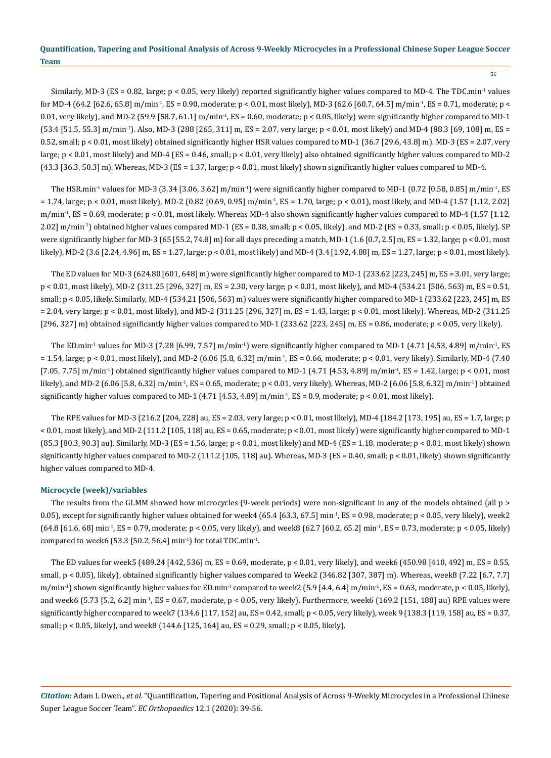51

Similarly, MD-3 (ES = 0.82, large; p < 0.05, very likely) reported significantly higher values compared to MD-4. The TDC.min-1 values for MD-4 (64.2 [62.6, 65.8] m/min-1, ES = 0.90, moderate; p < 0.01, most likely), MD-3 (62.6 [60.7, 64.5] m/min-1, ES = 0.71, moderate; p < 0.01, very likely), and MD-2 (59.9 [58.7, 61.1] m/min<sup>-1</sup>, ES = 0.60, moderate;  $p < 0.05$ , likely) were significantly higher compared to MD-1 (53.4 [51.5, 55.3] m/min-1). Also, MD-3 (288 [265, 311] m, ES = 2.07, very large; p < 0.01, most likely) and MD-4 (88.3 [69, 108] m, ES = 0.52, small; p < 0.01, most likely) obtained significantly higher HSR values compared to MD-1 (36.7 [29.6, 43.8] m). MD-3 (ES = 2.07, very large; p < 0.01, most likely) and MD-4 (ES = 0.46, small; p < 0.01, very likely) also obtained significantly higher values compared to MD-2 (43.3 [36.3, 50.3] m). Whereas, MD-3 (ES = 1.37, large; p < 0.01, most likely) shown significantly higher values compared to MD-4.

The HSR.min<sup>-1</sup> values for MD-3 (3.34 [3.06, 3.62] m/min<sup>-1</sup>) were significantly higher compared to MD-1 (0.72 [0.58, 0.85] m/min<sup>-1</sup>, ES  $= 1.74$ , large;  $p < 0.01$ , most likely), MD-2 (0.82 [0.69, 0.95] m/min<sup>-1</sup>, ES = 1.70, large;  $p < 0.01$ ), most likely, and MD-4 (1.57 [1.12, 2.02]  $m/min<sup>-1</sup>$ ,  $ES = 0.69$ , moderate;  $p < 0.01$ , most likely. Whereas MD-4 also shown significantly higher values compared to MD-4 (1.57 [1.12, 2.02] m/min-1) obtained higher values compared MD-1 (ES = 0.38, small; p < 0.05, likely), and MD-2 (ES = 0.33, small; p < 0.05, likely). SP were significantly higher for MD-3 (65 [55.2, 74.8] m) for all days preceding a match, MD-1 (1.6 [0.7, 2.5] m, ES = 1.32, large; p < 0.01, most likely), MD-2 (3.6 [2.24, 4.96] m, ES = 1.27, large; p < 0.01, most likely) and MD-4 (3.4 [1.92, 4.88] m, ES = 1.27, large; p < 0.01, most likely).

The ED values for MD-3 (624.80 [601, 648] m) were significantly higher compared to MD-1 (233.62 [223, 245] m, ES = 3.01, very large; p < 0.01, most likely), MD-2 (311.25 [296, 327] m, ES = 2.30, very large; p < 0.01, most likely), and MD-4 (534.21 [506, 563) m, ES = 0.51, small; p < 0.05, likely. Similarly, MD-4 (534.21 [506, 563) m) values were significantly higher compared to MD-1 (233.62 [223, 245] m, ES = 2.04, very large; p < 0.01, most likely), and MD-2 (311.25 [296, 327] m, ES = 1.43, large; p < 0.01, most likely). Whereas, MD-2 (311.25 [296, 327] m) obtained significantly higher values compared to MD-1 (233.62 [223, 245] m, ES = 0.86, moderate; p < 0.05, very likely).

The ED.min<sup>-1</sup> values for MD-3 (7.28 [6.99, 7.57] m/min<sup>-1</sup>) were significantly higher compared to MD-1 (4.71 [4.53, 4.89] m/min<sup>-1</sup>, ES  $= 1.54$ , large;  $p < 0.01$ , most likely), and MD-2 (6.06 [5.8, 6.32] m/min<sup>-1</sup>, ES = 0.66, moderate;  $p < 0.01$ , very likely). Similarly, MD-4 (7.40) [7.05, 7.75] m/min<sup>-1</sup>) obtained significantly higher values compared to MD-1 (4.71 [4.53, 4.89] m/min<sup>-1</sup>, ES = 1.42, large; p < 0.01, most likely), and MD-2 (6.06 [5.8, 6.32] m/min-1, ES = 0.65, moderate; p < 0.01, very likely). Whereas, MD-2 (6.06 [5.8, 6.32] m/min-1) obtained significantly higher values compared to MD-1 (4.71 [4.53, 4.89] m/min<sup>-1</sup>, ES = 0.9, moderate;  $p < 0.01$ , most likely).

The RPE values for MD-3 (216.2 [204, 228] au, ES = 2.03, very large; p < 0.01, most likely), MD-4 (184.2 [173, 195] au, ES = 1.7, large; p < 0.01, most likely), and MD-2 (111.2 [105, 118] au, ES = 0.65, moderate; p < 0.01, most likely) were significantly higher compared to MD-1 (85.3 [80.3, 90.3] au). Similarly, MD-3 (ES = 1.56, large; p < 0.01, most likely) and MD-4 (ES = 1.18, moderate; p < 0.01, most likely) shown significantly higher values compared to MD-2 (111.2 [105, 118] au). Whereas, MD-3 (ES = 0.40, small; p < 0.01, likely) shown significantly higher values compared to MD-4.

#### **Microcycle (week)/variables**

The results from the GLMM showed how microcycles (9-week periods) were non-significant in any of the models obtained (all p > 0.05), except for significantly higher values obtained for week4 (65.4 [63.3, 67.5] min<sup>-1</sup>, ES = 0.98, moderate; p < 0.05, very likely), week2 (64.8 [61.6, 68] min-1, ES = 0.79, moderate; p < 0.05, very likely), and week8 (62.7 [60.2, 65.2] min-1, ES = 0.73, moderate; p < 0.05, likely) compared to week6 (53.3 [50.2, 56.4] min<sup>-1</sup>) for total TDC.min<sup>-1</sup>.

The ED values for week5 (489.24 [442, 536] m, ES = 0.69, moderate, p < 0.01, very likely), and week6 (450.98 [410, 492] m, ES = 0.55, small, p < 0.05), likely), obtained significantly higher values compared to Week2 (346.82 [307, 387] m). Whereas, week8 (7.22 [6.7, 7.7] m/min<sup>-1</sup>) shown significantly higher values for ED.min<sup>-1</sup> compared to week2 (5.9 [4.4, 6.4] m/min<sup>-1</sup>, ES = 0.63, moderate, p < 0.05, likely), and week6 (5.73 [5.2, 6.2] min<sup>-1</sup>, ES = 0.67, moderate,  $p < 0.05$ , very likely). Furthermore, week6 (169.2 [151, 188] au) RPE values were significantly higher compared to week7 (134.6 [117, 152] au, ES = 0.42, small; p < 0.05, very likely), week 9 (138.3 [119, 158] au, ES = 0.37, small; p < 0.05, likely), and week8 (144.6 [125, 164] au, ES = 0.29, small; p < 0.05, likely).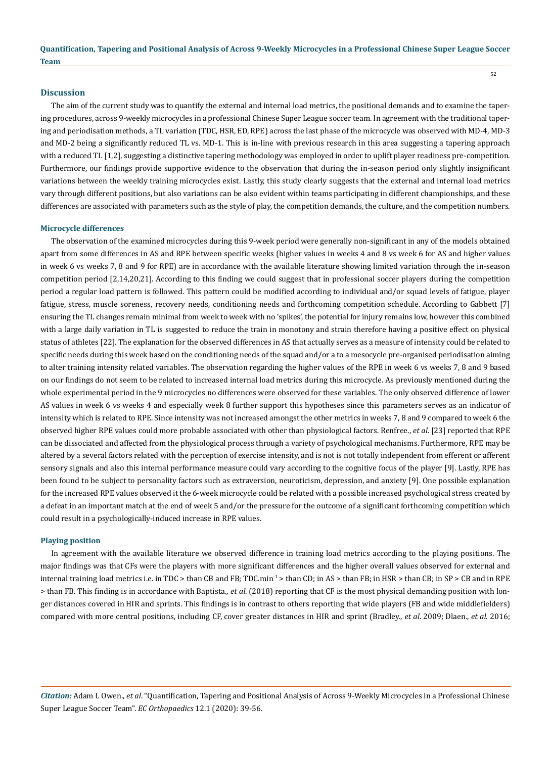# **Discussion**

The aim of the current study was to quantify the external and internal load metrics, the positional demands and to examine the tapering procedures, across 9-weekly microcycles in a professional Chinese Super League soccer team. In agreement with the traditional tapering and periodisation methods, a TL variation (TDC, HSR, ED, RPE) across the last phase of the microcycle was observed with MD-4, MD-3 and MD-2 being a significantly reduced TL vs. MD-1. This is in-line with previous research in this area suggesting a tapering approach with a reduced TL [1,2], suggesting a distinctive tapering methodology was employed in order to uplift player readiness pre-competition. Furthermore, our findings provide supportive evidence to the observation that during the in-season period only slightly insignificant variations between the weekly training microcycles exist. Lastly, this study clearly suggests that the external and internal load metrics vary through different positions, but also variations can be also evident within teams participating in different championships, and these differences are associated with parameters such as the style of play, the competition demands, the culture, and the competition numbers.

#### **Microcycle differences**

The observation of the examined microcycles during this 9-week period were generally non-significant in any of the models obtained apart from some differences in AS and RPE between specific weeks (higher values in weeks 4 and 8 vs week 6 for AS and higher values in week 6 vs weeks 7, 8 and 9 for RPE) are in accordance with the available literature showing limited variation through the in-season competition period [2,14,20,21]. According to this finding we could suggest that in professional soccer players during the competition period a regular load pattern is followed. This pattern could be modified according to individual and/or squad levels of fatigue, player fatigue, stress, muscle soreness, recovery needs, conditioning needs and forthcoming competition schedule. According to Gabbett [7] ensuring the TL changes remain minimal from week to week with no 'spikes', the potential for injury remains low, however this combined with a large daily variation in TL is suggested to reduce the train in monotony and strain therefore having a positive effect on physical status of athletes [22]. The explanation for the observed differences in AS that actually serves as a measure of intensity could be related to specific needs during this week based on the conditioning needs of the squad and/or a to a mesocycle pre-organised periodisation aiming to alter training intensity related variables. The observation regarding the higher values of the RPE in week 6 vs weeks 7, 8 and 9 based on our findings do not seem to be related to increased internal load metrics during this microcycle. As previously mentioned during the whole experimental period in the 9 microcycles no differences were observed for these variables. The only observed difference of lower AS values in week 6 vs weeks 4 and especially week 8 further support this hypotheses since this parameters serves as an indicator of intensity which is related to RPE. Since intensity was not increased amongst the other metrics in weeks 7, 8 and 9 compared to week 6 the observed higher RPE values could more probable associated with other than physiological factors. Renfree., *et al*. [23] reported that RPE can be dissociated and affected from the physiological process through a variety of psychological mechanisms. Furthermore, RPE may be altered by a several factors related with the perception of exercise intensity, and is not is not totally independent from efferent or afferent sensory signals and also this internal performance measure could vary according to the cognitive focus of the player [9]. Lastly, RPE has been found to be subject to personality factors such as extraversion, neuroticism, depression, and anxiety [9]. One possible explanation for the increased RPE values observed it the 6-week microcycle could be related with a possible increased psychological stress created by a defeat in an important match at the end of week 5 and/or the pressure for the outcome of a significant forthcoming competition which could result in a psychologically-induced increase in RPE values.

#### **Playing position**

In agreement with the available literature we observed difference in training load metrics according to the playing positions. The major findings was that CFs were the players with more significant differences and the higher overall values observed for external and internal training load metrics i.e. in TDC > than CB and FB; TDC.min<sup>-1</sup> > than CD; in AS > than FB; in HSR > than CB; in SP > CB and in RPE > than FB. This finding is in accordance with Baptista., *et al*. (2018) reporting that CF is the most physical demanding position with longer distances covered in HIR and sprints. This findings is in contrast to others reporting that wide players (FB and wide middlefielders) compared with more central positions, including CF, cover greater distances in HIR and sprint (Bradley., *et al*. 2009; Dlaen., *et al*. 2016;

*Citation:* Adam L Owen., *et al*. "Quantification, Tapering and Positional Analysis of Across 9-Weekly Microcycles in a Professional Chinese Super League Soccer Team". *EC Orthopaedics* 12.1 (2020): 39-56.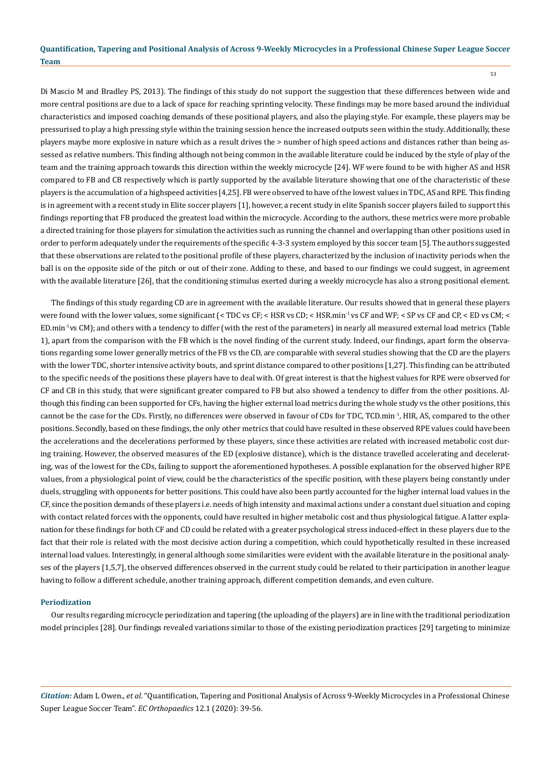Di Mascio M and Bradley PS, 2013). The findings of this study do not support the suggestion that these differences between wide and more central positions are due to a lack of space for reaching sprinting velocity. These findings may be more based around the individual characteristics and imposed coaching demands of these positional players, and also the playing style. For example, these players may be pressurised to play a high pressing style within the training session hence the increased outputs seen within the study. Additionally, these players maybe more explosive in nature which as a result drives the > number of high speed actions and distances rather than being assessed as relative numbers. This finding although not being common in the available literature could be induced by the style of play of the team and the training approach towards this direction within the weekly microcycle [24]. WF were found to be with higher AS and HSR compared to FB and CB respectively which is partly supported by the available literature showing that one of the characteristic of these players is the accumulation of a highspeed activities [4,25]. FB were observed to have of the lowest values in TDC, AS and RPE. This finding is in agreement with a recent study in Elite soccer players [1], however, a recent study in elite Spanish soccer players failed to support this findings reporting that FB produced the greatest load within the microcycle. According to the authors, these metrics were more probable a directed training for those players for simulation the activities such as running the channel and overlapping than other positions used in order to perform adequately under the requirements of the specific 4-3-3 system employed by this soccer team [5]. The authors suggested that these observations are related to the positional profile of these players, characterized by the inclusion of inactivity periods when the ball is on the opposite side of the pitch or out of their zone. Adding to these, and based to our findings we could suggest, in agreement with the available literature [26], that the conditioning stimulus exerted during a weekly microcycle has also a strong positional element.

The findings of this study regarding CD are in agreement with the available literature. Our results showed that in general these players were found with the lower values, some significant (< TDC vs CF; < HSR vs CD; < HSR.min<sup>-1</sup> vs CF and WF; < SP vs CF and CP, < ED vs CM; < ED.min-1vs CM); and others with a tendency to differ (with the rest of the parameters) in nearly all measured external load metrics (Table 1), apart from the comparison with the FB which is the novel finding of the current study. Indeed, our findings, apart form the observations regarding some lower generally metrics of the FB vs the CD, are comparable with several studies showing that the CD are the players with the lower TDC, shorter intensive activity bouts, and sprint distance compared to other positions [1,27]. This finding can be attributed to the specific needs of the positions these players have to deal with. Of great interest is that the highest values for RPE were observed for CF and CB in this study, that were significant greater compared to FB but also showed a tendency to differ from the other positions. Although this finding can been supported for CFs, having the higher external load metrics during the whole study vs the other positions, this cannot be the case for the CDs. Firstly, no differences were observed in favour of CDs for TDC, TCD.min-1, HIR, AS, compared to the other positions. Secondly, based on these findings, the only other metrics that could have resulted in these observed RPE values could have been the accelerations and the decelerations performed by these players, since these activities are related with increased metabolic cost during training. However, the observed measures of the ED (explosive distance), which is the distance travelled accelerating and decelerating, was of the lowest for the CDs, failing to support the aforementioned hypotheses. A possible explanation for the observed higher RPE values, from a physiological point of view, could be the characteristics of the specific position, with these players being constantly under duels, struggling with opponents for better positions. This could have also been partly accounted for the higher internal load values in the CF, since the position demands of these players i.e. needs of high intensity and maximal actions under a constant duel situation and coping with contact related forces with the opponents, could have resulted in higher metabolic cost and thus physiological fatigue. A latter explanation for these findings for both CF and CD could be related with a greater psychological stress induced-effect in these players due to the fact that their role is related with the most decisive action during a competition, which could hypothetically resulted in these increased internal load values. Interestingly, in general although some similarities were evident with the available literature in the positional analyses of the players [1,5,7], the observed differences observed in the current study could be related to their participation in another league having to follow a different schedule, another training approach, different competition demands, and even culture.

#### **Periodization**

Our results regarding microcycle periodization and tapering (the uploading of the players) are in line with the traditional periodization model principles [28]. Our findings revealed variations similar to those of the existing periodization practices [29] targeting to minimize

*Citation:* Adam L Owen., *et al*. "Quantification, Tapering and Positional Analysis of Across 9-Weekly Microcycles in a Professional Chinese Super League Soccer Team". *EC Orthopaedics* 12.1 (2020): 39-56.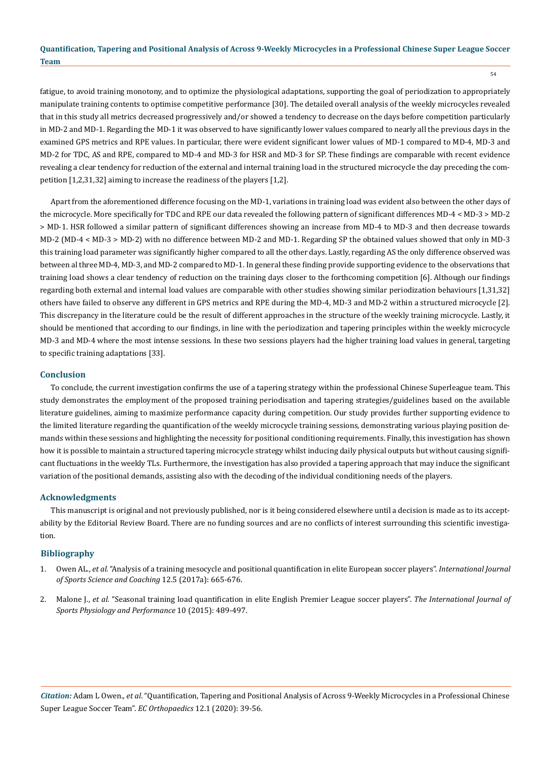fatigue, to avoid training monotony, and to optimize the physiological adaptations, supporting the goal of periodization to appropriately manipulate training contents to optimise competitive performance [30]. The detailed overall analysis of the weekly microcycles revealed that in this study all metrics decreased progressively and/or showed a tendency to decrease on the days before competition particularly in MD-2 and MD-1. Regarding the MD-1 it was observed to have significantly lower values compared to nearly all the previous days in the examined GPS metrics and RPE values. In particular, there were evident significant lower values of MD-1 compared to MD-4, MD-3 and MD-2 for TDC, AS and RPE, compared to MD-4 and MD-3 for HSR and MD-3 for SP. These findings are comparable with recent evidence revealing a clear tendency for reduction of the external and internal training load in the structured microcycle the day preceding the competition [1,2,31,32] aiming to increase the readiness of the players [1,2].

Apart from the aforementioned difference focusing on the MD-1, variations in training load was evident also between the other days of the microcycle. More specifically for TDC and RPE our data revealed the following pattern of significant differences MD-4 < MD-3 > MD-2 > MD-1. HSR followed a similar pattern of significant differences showing an increase from MD-4 to MD-3 and then decrease towards MD-2 (MD-4 < MD-3 > MD-2) with no difference between MD-2 and MD-1. Regarding SP the obtained values showed that only in MD-3 this training load parameter was significantly higher compared to all the other days. Lastly, regarding AS the only difference observed was between al three MD-4, MD-3, and MD-2 compared to MD-1. In general these finding provide supporting evidence to the observations that training load shows a clear tendency of reduction on the training days closer to the forthcoming competition [6]. Although our findings regarding both external and internal load values are comparable with other studies showing similar periodization behaviours [1,31,32] others have failed to observe any different in GPS metrics and RPE during the MD-4, MD-3 and MD-2 within a structured microcycle [2]. This discrepancy in the literature could be the result of different approaches in the structure of the weekly training microcycle. Lastly, it should be mentioned that according to our findings, in line with the periodization and tapering principles within the weekly microcycle MD-3 and MD-4 where the most intense sessions. In these two sessions players had the higher training load values in general, targeting to specific training adaptations [33].

### **Conclusion**

To conclude, the current investigation confirms the use of a tapering strategy within the professional Chinese Superleague team. This study demonstrates the employment of the proposed training periodisation and tapering strategies/guidelines based on the available literature guidelines, aiming to maximize performance capacity during competition. Our study provides further supporting evidence to the limited literature regarding the quantification of the weekly microcycle training sessions, demonstrating various playing position demands within these sessions and highlighting the necessity for positional conditioning requirements. Finally, this investigation has shown how it is possible to maintain a structured tapering microcycle strategy whilst inducing daily physical outputs but without causing significant fluctuations in the weekly TLs. Furthermore, the investigation has also provided a tapering approach that may induce the significant variation of the positional demands, assisting also with the decoding of the individual conditioning needs of the players.

#### **Acknowledgments**

This manuscript is original and not previously published, nor is it being considered elsewhere until a decision is made as to its acceptability by the Editorial Review Board. There are no funding sources and are no conflicts of interest surrounding this scientific investigation.

#### **Bibliography**

- 1. Owen AL., *et al.* ["Analysis of a training mesocycle and positional quantification in elite European soccer players".](https://www.researchgate.net/publication/317225496_Analysis_of_a_training_mesocycle_and_positional_quantification_in_elite_European_soccer_players) *International Journal [of Sports Science and Coaching](https://www.researchgate.net/publication/317225496_Analysis_of_a_training_mesocycle_and_positional_quantification_in_elite_European_soccer_players)* 12.5 (2017a): 665-676.
- 2. Malone J., *et al.* ["Seasonal training load quantification in elite English Premier League soccer players".](https://www.researchgate.net/publication/268234856_Seasonal_Training-Load_Quantification_in_Elite_English_Premier_League_Soccer_Players) *The International Journal of [Sports Physiology and Performance](https://www.researchgate.net/publication/268234856_Seasonal_Training-Load_Quantification_in_Elite_English_Premier_League_Soccer_Players)* 10 (2015): 489-497.

*Citation:* Adam L Owen., *et al*. "Quantification, Tapering and Positional Analysis of Across 9-Weekly Microcycles in a Professional Chinese Super League Soccer Team". *EC Orthopaedics* 12.1 (2020): 39-56.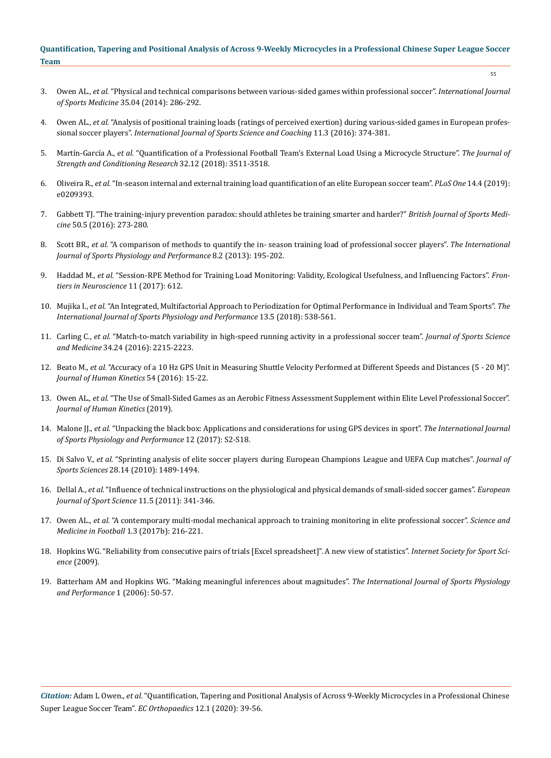- 55
- 3. Owen AL., *et al.* ["Physical and technical comparisons between various-sided games within professional soccer".](https://www.researchgate.net/publication/256490435_Physical_and_Technical_Comparisons_between_Various-Sided_Games_within_Professional_Soccer) *International Journal of Sports Medicine* [35.04 \(2014\): 286-292.](https://www.researchgate.net/publication/256490435_Physical_and_Technical_Comparisons_between_Various-Sided_Games_within_Professional_Soccer)
- 4. Owen AL., *et al.* ["Analysis of positional training loads \(ratings of perceived exertion\) during various-sided games in European profes](https://www.researchgate.net/publication/301483152_Analysis_of_positional_training_loads_ratings_of_perceived_exertion_during_various-sided_games_in_European_professional_soccer_players)sional soccer players". *[International Journal of Sports Science and Coaching](https://www.researchgate.net/publication/301483152_Analysis_of_positional_training_loads_ratings_of_perceived_exertion_during_various-sided_games_in_European_professional_soccer_players)* 11.3 (2016): 374-381.
- 5. Martín-García A., *et al.* ["Quantification of a Professional Football Team's External Load Using a Microcycle Structure".](https://www.researchgate.net/publication/327534249_Quantification_of_a_Professional_Football_Team%27s_External_Load_Using_a_Microcycle_Structure) *The Journal of [Strength and Conditioning Research](https://www.researchgate.net/publication/327534249_Quantification_of_a_Professional_Football_Team%27s_External_Load_Using_a_Microcycle_Structure)* 32.12 (2018): 3511-3518.
- 6. Oliveira R., *et al.* ["In-season internal and external training load quantification of an elite European soccer team".](https://journals.plos.org/plosone/article?id=10.1371/journal.pone.0209393) *PLoS One* 14.4 (2019): [e0209393.](https://journals.plos.org/plosone/article?id=10.1371/journal.pone.0209393)
- 7. [Gabbett TJ. "The training-injury prevention paradox: should athletes be training smarter and harder?"](https://bjsm.bmj.com/content/50/5/273) *British Journal of Sports Medicine* [50.5 \(2016\): 273-280.](https://bjsm.bmj.com/content/50/5/273)
- 8. Scott BR., *et al.* ["A comparison of methods to quantify the in- season training load of professional soccer players".](https://www.researchgate.net/publication/235689176_A_Comparison_of_Methods_to_Quantify_the_In-Season_Training_Load_of_Professional_Soccer_Players) *The International [Journal of Sports Physiology and Performance](https://www.researchgate.net/publication/235689176_A_Comparison_of_Methods_to_Quantify_the_In-Season_Training_Load_of_Professional_Soccer_Players)* 8.2 (2013): 195-202.
- 9. Haddad M., *et al.* ["Session-RPE Method for Training Load Monitoring: Validity, Ecological Usefulness, and Influencing Factors".](https://www.frontiersin.org/articles/10.3389/fnins.2017.00612/full) *Fron[tiers in Neuroscience](https://www.frontiersin.org/articles/10.3389/fnins.2017.00612/full)* 11 (2017): 612.
- 10. Mujika I., *et al.* ["An Integrated, Multifactorial Approach to Periodization for Optimal Performance in Individual and Team Sports".](https://www.researchgate.net/publication/325479564_An_Integrated_Multifactorial_Approach_to_Periodization_for_Optimal_Performance_in_Individual_and_Team_Sports) *The [International Journal of Sports Physiology and Performance](https://www.researchgate.net/publication/325479564_An_Integrated_Multifactorial_Approach_to_Periodization_for_Optimal_Performance_in_Individual_and_Team_Sports)* 13.5 (2018): 538-561.
- 11. Carling C., *et al.* ["Match-to-match variability in high-speed running activity in a professional soccer team".](https://www.researchgate.net/publication/299785477_Match-to-match_variability_in_high-speed_running_activity_in_a_professional_soccer_team) *Journal of Sports Science and Medicine* [34.24 \(2016\): 2215-2223.](https://www.researchgate.net/publication/299785477_Match-to-match_variability_in_high-speed_running_activity_in_a_professional_soccer_team)
- 12. Beato M., *et al.* ["Accuracy of a 10 Hz GPS Unit in Measuring Shuttle Velocity Performed at Different Speeds and Distances \(5 20 M\)".](https://www.ncbi.nlm.nih.gov/pmc/articles/PMC5187957/)  *[Journal of Human Kinetics](https://www.ncbi.nlm.nih.gov/pmc/articles/PMC5187957/)* 54 (2016): 15-22.
- 13. Owen AL., *et al.* ["The Use of Small-Sided Games as an Aerobic Fitness Assessment Supplement within Elite Level Professional Soccer".](https://www.researchgate.net/publication/339172496_The_Use_of_Small-Sided_Games_as_an_Aerobic_Fitness_Assessment_Supplement_Within_Elite_Level_Professional_Soccer)  *[Journal of Human Kinetics](https://www.researchgate.net/publication/339172496_The_Use_of_Small-Sided_Games_as_an_Aerobic_Fitness_Assessment_Supplement_Within_Elite_Level_Professional_Soccer)* (2019).
- 14. Malone JJ., *et al.* ["Unpacking the black box: Applications and considerations for using GPS devices in sport".](https://www.researchgate.net/publication/309138517_Unpacking_the_Black_Box_Applications_and_Considerations_for_Using_GPS_Devices_in_Sport) *The International Journal [of Sports Physiology and Performance](https://www.researchgate.net/publication/309138517_Unpacking_the_Black_Box_Applications_and_Considerations_for_Using_GPS_Devices_in_Sport)* 12 (2017): S2-S18.
- 15. Di Salvo V., *et al.* ["Sprinting analysis of elite soccer players during European Champions League and UEFA Cup matches".](https://www.researchgate.net/publication/47677010_Sprinting_analysis_of_elite_soccer_players_during_European_Champions_League_and_UEFA_Cup_matches) *Journal of Sports Sciences* [28.14 \(2010\): 1489-1494.](https://www.researchgate.net/publication/47677010_Sprinting_analysis_of_elite_soccer_players_during_European_Champions_League_and_UEFA_Cup_matches)
- 16. Dellal A., *et al.* ["Influence of technical instructions on the physiological and physical demands of small-sided soccer games".](https://www.researchgate.net/publication/233020913_Influence_of_technical_instructions_on_the_physiological_and_physical_demands_of_small-sided_soccer_games) *European [Journal of Sport Science](https://www.researchgate.net/publication/233020913_Influence_of_technical_instructions_on_the_physiological_and_physical_demands_of_small-sided_soccer_games)* 11.5 (2011): 341-346.
- 17. Owen AL., *et al.* ["A contemporary multi-modal mechanical approach to training monitoring in elite professional soccer".](https://www.researchgate.net/publication/318379665_A_contemporary_multi-modal_mechanical_approach_to_training_monitoring_in_elite_professional_soccer) *Science and [Medicine in Football](https://www.researchgate.net/publication/318379665_A_contemporary_multi-modal_mechanical_approach_to_training_monitoring_in_elite_professional_soccer)* 1.3 (2017b): 216-221.
- 18. [Hopkins WG. "Reliability from consecutive pairs of trials \[Excel spreadsheet\]". A new view of statistics".](http://www.sportsci.org/resource/stats/) *Internet Society for Sport Science* [\(2009\).](http://www.sportsci.org/resource/stats/)
- 19. [Batterham AM and Hopkins WG. "Making meaningful inferences about magnitudes".](https://pubmed.ncbi.nlm.nih.gov/19114737/) *The International Journal of Sports Physiology [and Performance](https://pubmed.ncbi.nlm.nih.gov/19114737/)* 1 (2006): 50-57.